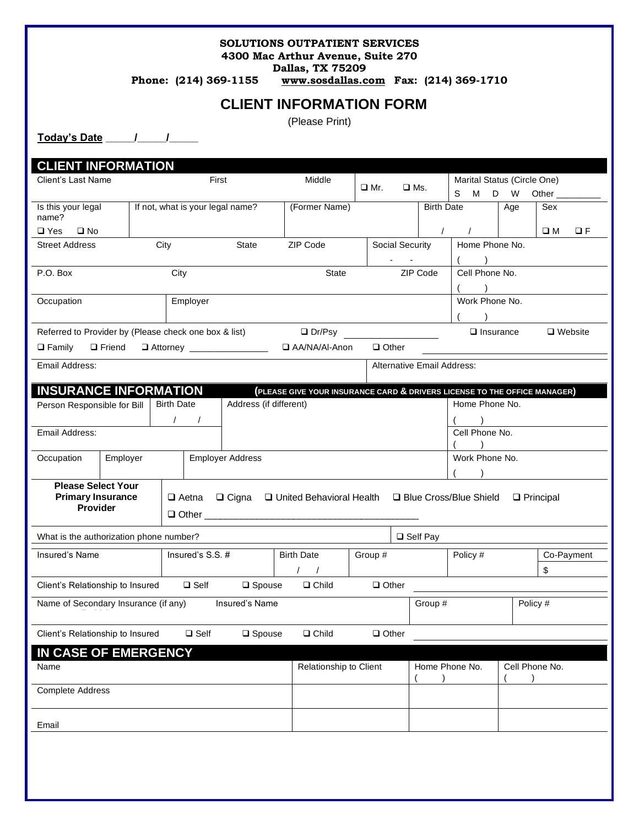#### **SOLUTIONS OUTPATIENT SERVICES 4300 Mac Arthur Avenue, Suite 270**

**Dallas, TX 75209**

**Phone: (214) 369-1155 [www.sosdallas.com](http://www.sosdallas.com/) Fax: (214) 369-1710**

### **CLIENT INFORMATION FORM**

(Please Print)

**Today's Date \_\_\_\_\_/\_\_\_\_\_/\_\_\_\_\_**

**CLIENT INFORMATION** Client's Last Name **First** First Middle ❑ Mr. ❑ Ms. Marital Status (Circle One) S M D W Other Is this your legal name? If not, what is your legal name? (Former Name) Birth Date Age Sex ❑ Yes ❑ No / / ❑ M ❑ F Street Address City City State ZIP Code Social Security Home Phone No. - - ( ) P.O. Box City City City State ZIP Code Cell Phone No. ( ) Occupation **Employer** Employer **Employer** Employer Work Phone No.  $\lambda$ Referred to Provider by (Please check one box & list)  $\Box$  Dr/Psy  $\Box$  Insurance  $\Box$  Website ❑ Family ❑ Friend ❑ Attorney \_\_\_\_\_\_\_\_\_\_\_\_\_\_\_\_ ❑ AA/NA/Al-Anon ❑ Other Email Address: **Alternative Email Address:** Alternative Email Address: **INSURANCE INFORMATION** (PLEASE GIVE YOUR INSURANCE CARD & DRIVERS LICENSE TO THE OFFICE MANAGER)<br>Person Responsible for Bill Birth Date | Address (if different) | **Address** | Address (if different) | Home Phone Phone No. Person Responsible for Bill Birth Date Address (if different) Address (if all the Address (if all the Address (if different) / / ( ) Email Address: Cell Phone No.  $\rightarrow$ Occupation Employer | Employer Address Mone No. North Phone No.  $\lambda$ **Please Select Your Primary Insurance Provider** ❑ Aetna ❑ Cigna ❑ United Behavioral Health ❑ Blue Cross/Blue Shield ❑ Principal  $\Box$  Other  $\_$ What is the authorization phone number? ❑ Self Pay Insured's Name The Insured's S.S. # Birth Date Group # Policy # Co-Payment / / \$ Client's Relationship to Insured ❑ Self ❑ Spouse ❑ Child ❑ Other Name of Secondary Insurance (if any) Insured's Name Group #  $\vert$  Group #  $\vert$  Policy #  $\vert$  Policy # Client's Relationship to Insured ❑ Self ❑ Spouse ❑ Child ❑ Other **IN CASE OF EMERGENCY** Name **Relationship to Client** Home Phone No.  $($ Cell Phone No.  $($  ) Complete Address Email